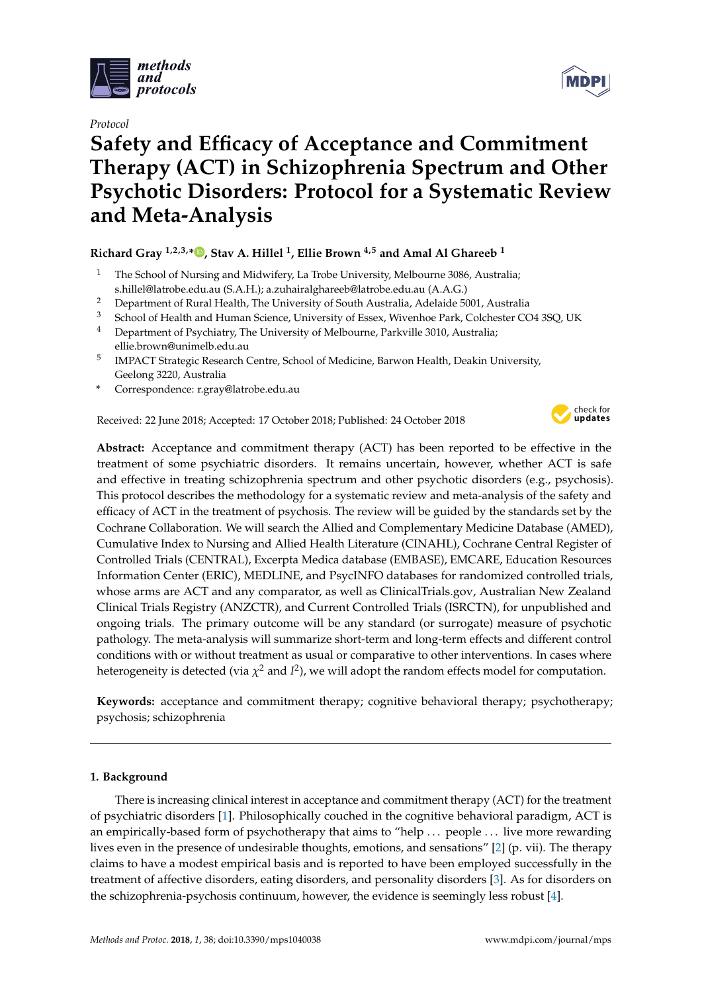

*Protocol*

# **Safety and Efficacy of Acceptance and Commitment Therapy (ACT) in Schizophrenia Spectrum and Other Psychotic Disorders: Protocol for a Systematic Review and Meta-Analysis**

## **Richard Gray 1,2,3,\* [,](https://orcid.org/0000-0001-9694-4206) Stav A. Hillel <sup>1</sup> , Ellie Brown 4,5 and Amal Al Ghareeb <sup>1</sup>**

- <sup>1</sup> The School of Nursing and Midwifery, La Trobe University, Melbourne 3086, Australia; s.hillel@latrobe.edu.au (S.A.H.); a.zuhairalghareeb@latrobe.edu.au (A.A.G.)
- <sup>2</sup> Department of Rural Health, The University of South Australia, Adelaide 5001, Australia<br><sup>3</sup> School of Health and Human Science Haiuswitz of Franz Winterhap Realt Colchester CO
- <sup>3</sup> School of Health and Human Science, University of Essex, Wivenhoe Park, Colchester CO4 3SQ, UK<br><sup>4</sup> Department of Pavchiatry, The University of Melbourne, Parkrille 2010, Australia
- <sup>4</sup> Department of Psychiatry, The University of Melbourne, Parkville 3010, Australia; ellie.brown@unimelb.edu.au
- 5 IMPACT Strategic Research Centre, School of Medicine, Barwon Health, Deakin University, Geelong 3220, Australia
- **\*** Correspondence: r.gray@latrobe.edu.au

Received: 22 June 2018; Accepted: 17 October 2018; Published: 24 October 2018



**Abstract:** Acceptance and commitment therapy (ACT) has been reported to be effective in the treatment of some psychiatric disorders. It remains uncertain, however, whether ACT is safe and effective in treating schizophrenia spectrum and other psychotic disorders (e.g., psychosis). This protocol describes the methodology for a systematic review and meta-analysis of the safety and efficacy of ACT in the treatment of psychosis. The review will be guided by the standards set by the Cochrane Collaboration. We will search the Allied and Complementary Medicine Database (AMED), Cumulative Index to Nursing and Allied Health Literature (CINAHL), Cochrane Central Register of Controlled Trials (CENTRAL), Excerpta Medica database (EMBASE), EMCARE, Education Resources Information Center (ERIC), MEDLINE, and PsycINFO databases for randomized controlled trials, whose arms are ACT and any comparator, as well as ClinicalTrials.gov, Australian New Zealand Clinical Trials Registry (ANZCTR), and Current Controlled Trials (ISRCTN), for unpublished and ongoing trials. The primary outcome will be any standard (or surrogate) measure of psychotic pathology. The meta-analysis will summarize short-term and long-term effects and different control conditions with or without treatment as usual or comparative to other interventions. In cases where heterogeneity is detected (via  $\chi^2$  and *I<sup>2</sup>),* we will adopt the random effects model for computation.

**Keywords:** acceptance and commitment therapy; cognitive behavioral therapy; psychotherapy; psychosis; schizophrenia

## **1. Background**

There is increasing clinical interest in acceptance and commitment therapy (ACT) for the treatment of psychiatric disorders [\[1\]](#page-6-0). Philosophically couched in the cognitive behavioral paradigm, ACT is an empirically-based form of psychotherapy that aims to "help . . . people . . . live more rewarding lives even in the presence of undesirable thoughts, emotions, and sensations" [\[2\]](#page-6-1) (p. vii). The therapy claims to have a modest empirical basis and is reported to have been employed successfully in the treatment of affective disorders, eating disorders, and personality disorders [\[3\]](#page-6-2). As for disorders on the schizophrenia-psychosis continuum, however, the evidence is seemingly less robust [\[4\]](#page-6-3).

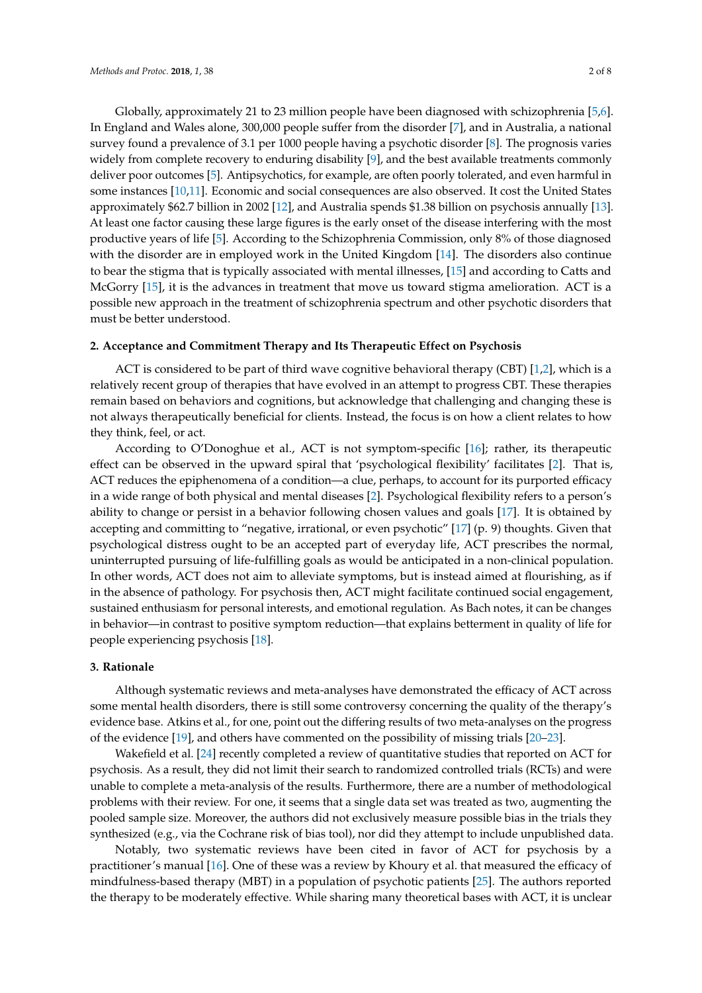Globally, approximately 21 to 23 million people have been diagnosed with schizophrenia [\[5,](#page-6-4)[6\]](#page-6-5). In England and Wales alone, 300,000 people suffer from the disorder [\[7\]](#page-6-6), and in Australia, a national survey found a prevalence of 3.1 per 1000 people having a psychotic disorder [\[8\]](#page-6-7). The prognosis varies widely from complete recovery to enduring disability [\[9\]](#page-6-8), and the best available treatments commonly deliver poor outcomes [\[5\]](#page-6-4). Antipsychotics, for example, are often poorly tolerated, and even harmful in some instances [\[10](#page-6-9)[,11\]](#page-6-10). Economic and social consequences are also observed. It cost the United States approximately \$62.7 billion in 2002 [\[12\]](#page-6-11), and Australia spends \$1.38 billion on psychosis annually [\[13\]](#page-6-12). At least one factor causing these large figures is the early onset of the disease interfering with the most productive years of life [\[5\]](#page-6-4). According to the Schizophrenia Commission, only 8% of those diagnosed with the disorder are in employed work in the United Kingdom [\[14\]](#page-6-13). The disorders also continue to bear the stigma that is typically associated with mental illnesses, [\[15\]](#page-6-14) and according to Catts and McGorry [\[15\]](#page-6-14), it is the advances in treatment that move us toward stigma amelioration. ACT is a possible new approach in the treatment of schizophrenia spectrum and other psychotic disorders that must be better understood.

## **2. Acceptance and Commitment Therapy and Its Therapeutic Effect on Psychosis**

ACT is considered to be part of third wave cognitive behavioral therapy (CBT) [\[1,](#page-6-0)[2\]](#page-6-1), which is a relatively recent group of therapies that have evolved in an attempt to progress CBT. These therapies remain based on behaviors and cognitions, but acknowledge that challenging and changing these is not always therapeutically beneficial for clients. Instead, the focus is on how a client relates to how they think, feel, or act.

According to O'Donoghue et al., ACT is not symptom-specific [\[16\]](#page-6-15); rather, its therapeutic effect can be observed in the upward spiral that 'psychological flexibility' facilitates [\[2\]](#page-6-1). That is, ACT reduces the epiphenomena of a condition—a clue, perhaps, to account for its purported efficacy in a wide range of both physical and mental diseases [\[2\]](#page-6-1). Psychological flexibility refers to a person's ability to change or persist in a behavior following chosen values and goals [\[17\]](#page-6-16). It is obtained by accepting and committing to "negative, irrational, or even psychotic" [\[17\]](#page-6-16) (p. 9) thoughts. Given that psychological distress ought to be an accepted part of everyday life, ACT prescribes the normal, uninterrupted pursuing of life-fulfilling goals as would be anticipated in a non-clinical population. In other words, ACT does not aim to alleviate symptoms, but is instead aimed at flourishing, as if in the absence of pathology. For psychosis then, ACT might facilitate continued social engagement, sustained enthusiasm for personal interests, and emotional regulation. As Bach notes, it can be changes in behavior—in contrast to positive symptom reduction—that explains betterment in quality of life for people experiencing psychosis [\[18\]](#page-6-17).

## **3. Rationale**

Although systematic reviews and meta-analyses have demonstrated the efficacy of ACT across some mental health disorders, there is still some controversy concerning the quality of the therapy's evidence base. Atkins et al., for one, point out the differing results of two meta-analyses on the progress of the evidence [\[19\]](#page-7-0), and others have commented on the possibility of missing trials [\[20](#page-7-1)[–23\]](#page-7-2).

Wakefield et al. [\[24\]](#page-7-3) recently completed a review of quantitative studies that reported on ACT for psychosis. As a result, they did not limit their search to randomized controlled trials (RCTs) and were unable to complete a meta-analysis of the results. Furthermore, there are a number of methodological problems with their review. For one, it seems that a single data set was treated as two, augmenting the pooled sample size. Moreover, the authors did not exclusively measure possible bias in the trials they synthesized (e.g., via the Cochrane risk of bias tool), nor did they attempt to include unpublished data.

Notably, two systematic reviews have been cited in favor of ACT for psychosis by a practitioner's manual [\[16\]](#page-6-15). One of these was a review by Khoury et al. that measured the efficacy of mindfulness-based therapy (MBT) in a population of psychotic patients [\[25\]](#page-7-4). The authors reported the therapy to be moderately effective. While sharing many theoretical bases with ACT, it is unclear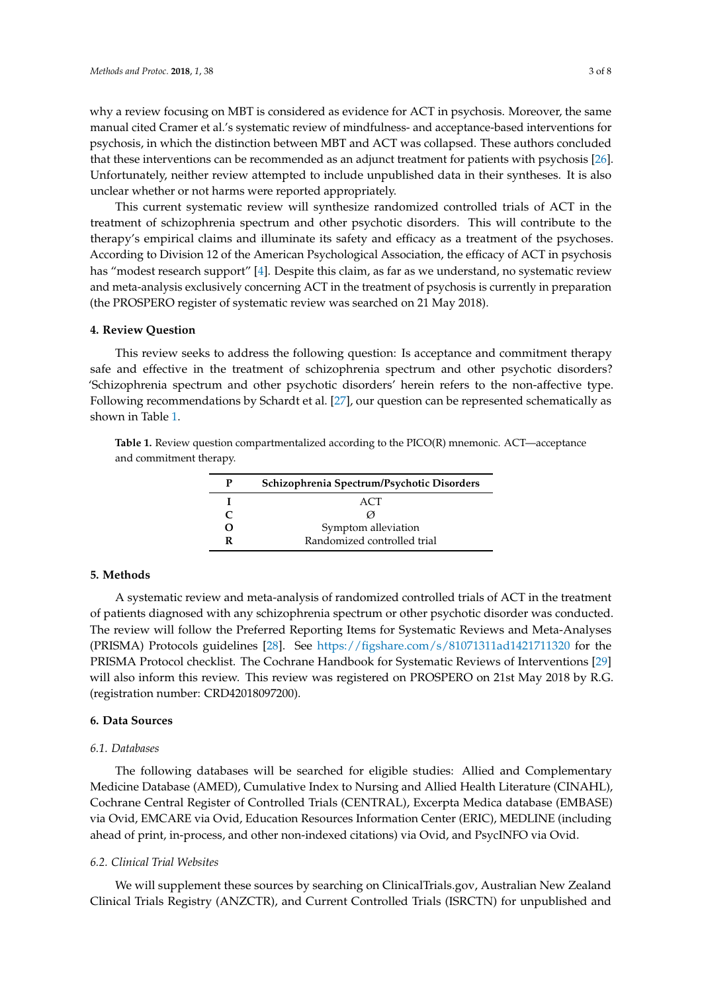why a review focusing on MBT is considered as evidence for ACT in psychosis. Moreover, the same manual cited Cramer et al.'s systematic review of mindfulness- and acceptance-based interventions for psychosis, in which the distinction between MBT and ACT was collapsed. These authors concluded that these interventions can be recommended as an adjunct treatment for patients with psychosis [\[26\]](#page-7-5). Unfortunately, neither review attempted to include unpublished data in their syntheses. It is also unclear whether or not harms were reported appropriately.

This current systematic review will synthesize randomized controlled trials of ACT in the treatment of schizophrenia spectrum and other psychotic disorders. This will contribute to the therapy's empirical claims and illuminate its safety and efficacy as a treatment of the psychoses. According to Division 12 of the American Psychological Association, the efficacy of ACT in psychosis has "modest research support" [\[4\]](#page-6-3). Despite this claim, as far as we understand, no systematic review and meta-analysis exclusively concerning ACT in the treatment of psychosis is currently in preparation (the PROSPERO register of systematic review was searched on 21 May 2018).

## **4. Review Question**

This review seeks to address the following question: Is acceptance and commitment therapy safe and effective in the treatment of schizophrenia spectrum and other psychotic disorders? 'Schizophrenia spectrum and other psychotic disorders' herein refers to the non-affective type. Following recommendations by Schardt et al. [\[27\]](#page-7-6), our question can be represented schematically as shown in Table [1.](#page-2-0)

<span id="page-2-0"></span>**Table 1.** Review question compartmentalized according to the PICO(R) mnemonic. ACT—acceptance and commitment therapy.

| Р | Schizophrenia Spectrum/Psychotic Disorders |
|---|--------------------------------------------|
|   | <b>ACT</b>                                 |
| C | $\omega$                                   |
| Ω | Symptom alleviation                        |
| R | Randomized controlled trial                |

### **5. Methods**

A systematic review and meta-analysis of randomized controlled trials of ACT in the treatment of patients diagnosed with any schizophrenia spectrum or other psychotic disorder was conducted. The review will follow the Preferred Reporting Items for Systematic Reviews and Meta-Analyses (PRISMA) Protocols guidelines [\[28\]](#page-7-7). See <https://figshare.com/s/81071311ad1421711320> for the PRISMA Protocol checklist. The Cochrane Handbook for Systematic Reviews of Interventions [\[29\]](#page-7-8) will also inform this review. This review was registered on PROSPERO on 21st May 2018 by R.G. (registration number: CRD42018097200).

## **6. Data Sources**

#### *6.1. Databases*

The following databases will be searched for eligible studies: Allied and Complementary Medicine Database (AMED), Cumulative Index to Nursing and Allied Health Literature (CINAHL), Cochrane Central Register of Controlled Trials (CENTRAL), Excerpta Medica database (EMBASE) via Ovid, EMCARE via Ovid, Education Resources Information Center (ERIC), MEDLINE (including ahead of print, in-process, and other non-indexed citations) via Ovid, and PsycINFO via Ovid.

#### *6.2. Clinical Trial Websites*

We will supplement these sources by searching on ClinicalTrials.gov, Australian New Zealand Clinical Trials Registry (ANZCTR), and Current Controlled Trials (ISRCTN) for unpublished and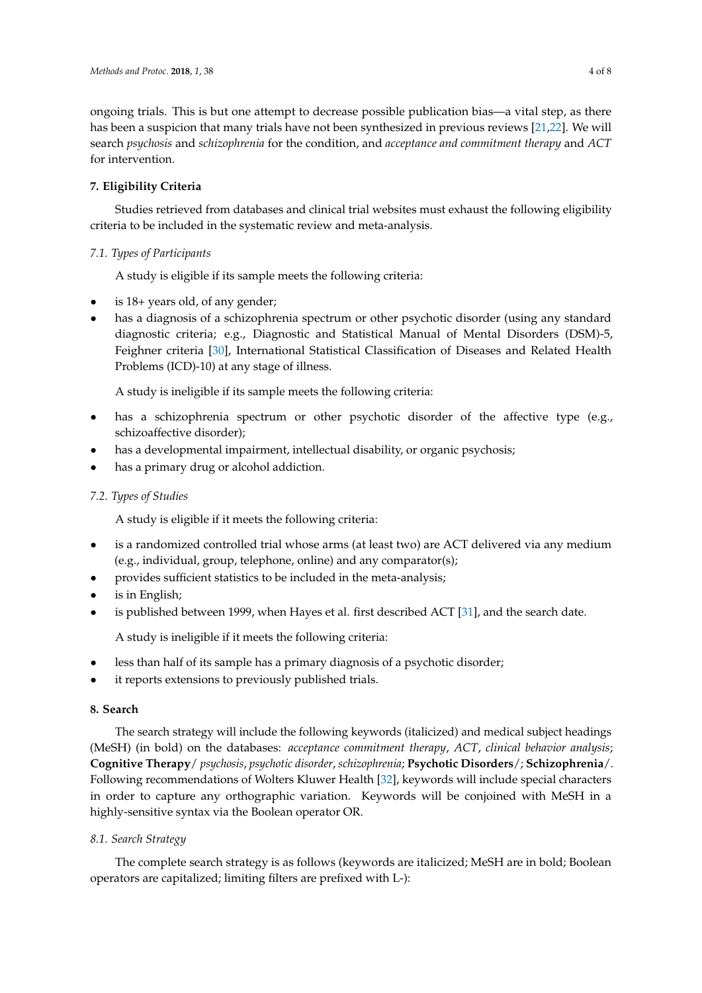ongoing trials. This is but one attempt to decrease possible publication bias—a vital step, as there has been a suspicion that many trials have not been synthesized in previous reviews [\[21](#page-7-9)[,22\]](#page-7-10). We will search *psychosis* and *schizophrenia* for the condition, and *acceptance and commitment therapy* and *ACT* for intervention.

## **7. Eligibility Criteria**

Studies retrieved from databases and clinical trial websites must exhaust the following eligibility criteria to be included in the systematic review and meta-analysis.

## *7.1. Types of Participants*

A study is eligible if its sample meets the following criteria:

- is 18+ years old, of any gender;
- has a diagnosis of a schizophrenia spectrum or other psychotic disorder (using any standard diagnostic criteria; e.g., Diagnostic and Statistical Manual of Mental Disorders (DSM)-5, Feighner criteria [\[30\]](#page-7-11), International Statistical Classification of Diseases and Related Health Problems (ICD)-10) at any stage of illness.

A study is ineligible if its sample meets the following criteria:

- has a schizophrenia spectrum or other psychotic disorder of the affective type (e.g., schizoaffective disorder);
- has a developmental impairment, intellectual disability, or organic psychosis;
- has a primary drug or alcohol addiction.

## *7.2. Types of Studies*

A study is eligible if it meets the following criteria:

- is a randomized controlled trial whose arms (at least two) are ACT delivered via any medium (e.g., individual, group, telephone, online) and any comparator(s);
- provides sufficient statistics to be included in the meta-analysis;
- is in English;
- is published between 1999, when Hayes et al. first described ACT [\[31\]](#page-7-12), and the search date.

A study is ineligible if it meets the following criteria:

- less than half of its sample has a primary diagnosis of a psychotic disorder;
- it reports extensions to previously published trials.

## **8. Search**

The search strategy will include the following keywords (italicized) and medical subject headings (MeSH) (in bold) on the databases: *acceptance commitment therapy*, *ACT*, *clinical behavior analysis*; **Cognitive Therapy**/ *psychosis*, *psychotic disorder*, *schizophrenia*; **Psychotic Disorders**/; **Schizophrenia**/. Following recommendations of Wolters Kluwer Health [\[32\]](#page-7-13), keywords will include special characters in order to capture any orthographic variation. Keywords will be conjoined with MeSH in a highly-sensitive syntax via the Boolean operator OR.

## *8.1. Search Strategy*

The complete search strategy is as follows (keywords are italicized; MeSH are in bold; Boolean operators are capitalized; limiting filters are prefixed with L-):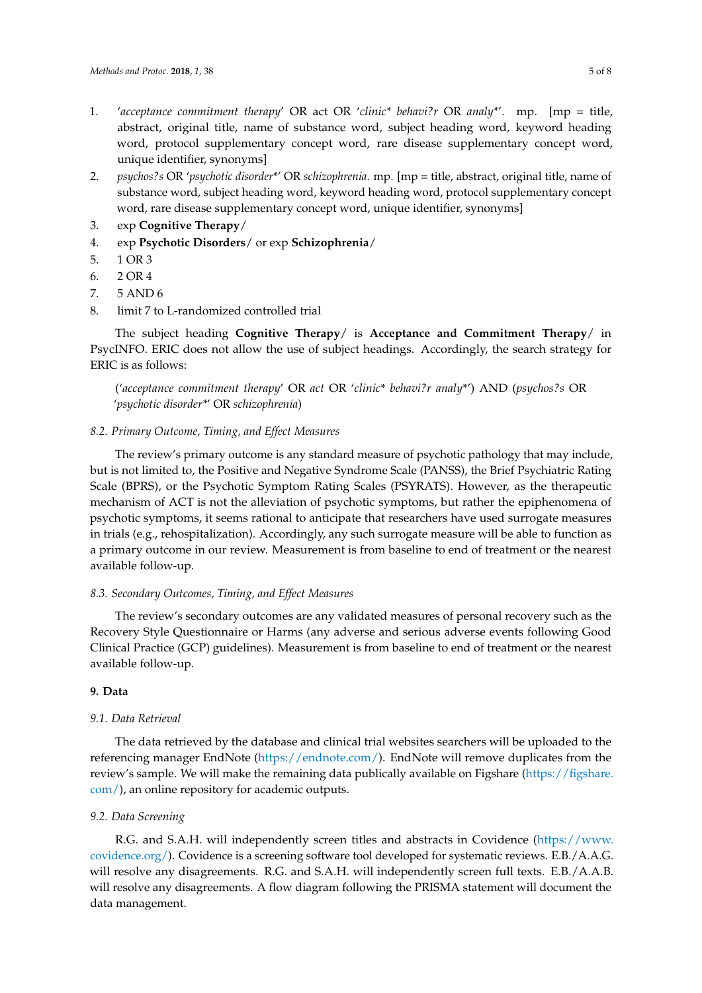- 1. '*acceptance commitment therapy*' OR act OR '*clinic\* behavi?r* OR *analy\**'. mp. [mp = title, abstract, original title, name of substance word, subject heading word, keyword heading word, protocol supplementary concept word, rare disease supplementary concept word, unique identifier, synonyms]
- 2. *psychos?s* OR '*psychotic disorder*\*' OR *schizophrenia*. mp. [mp = title, abstract, original title, name of substance word, subject heading word, keyword heading word, protocol supplementary concept word, rare disease supplementary concept word, unique identifier, synonyms]
- 3. exp **Cognitive Therapy**/
- 4. exp **Psychotic Disorders**/ or exp **Schizophrenia**/
- 5. 1 OR 3
- 6. 2 OR 4
- 7. 5 AND 6
- 8. limit 7 to L-randomized controlled trial

The subject heading **Cognitive Therapy**/ is **Acceptance and Commitment Therapy**/ in PsycINFO. ERIC does not allow the use of subject headings. Accordingly, the search strategy for ERIC is as follows:

('*acceptance commitment therapy*' OR *act* OR '*clinic*\* *behavi?r analy*\*') AND (*psychos?s* OR '*psychotic disorder\**' OR *schizophrenia*)

## *8.2. Primary Outcome, Timing, and Effect Measures*

The review's primary outcome is any standard measure of psychotic pathology that may include, but is not limited to, the Positive and Negative Syndrome Scale (PANSS), the Brief Psychiatric Rating Scale (BPRS), or the Psychotic Symptom Rating Scales (PSYRATS). However, as the therapeutic mechanism of ACT is not the alleviation of psychotic symptoms, but rather the epiphenomena of psychotic symptoms, it seems rational to anticipate that researchers have used surrogate measures in trials (e.g., rehospitalization). Accordingly, any such surrogate measure will be able to function as a primary outcome in our review. Measurement is from baseline to end of treatment or the nearest available follow-up.

## *8.3. Secondary Outcomes, Timing, and Effect Measures*

The review's secondary outcomes are any validated measures of personal recovery such as the Recovery Style Questionnaire or Harms (any adverse and serious adverse events following Good Clinical Practice (GCP) guidelines). Measurement is from baseline to end of treatment or the nearest available follow-up.

## **9. Data**

## *9.1. Data Retrieval*

The data retrieved by the database and clinical trial websites searchers will be uploaded to the referencing manager EndNote [\(https://endnote.com/\)](https://endnote.com/). EndNote will remove duplicates from the review's sample. We will make the remaining data publically available on Figshare [\(https://figshare.](https://figshare.com/) [com/\)](https://figshare.com/), an online repository for academic outputs.

## *9.2. Data Screening*

R.G. and S.A.H. will independently screen titles and abstracts in Covidence [\(https://www.](https://www.covidence.org/) [covidence.org/\)](https://www.covidence.org/). Covidence is a screening software tool developed for systematic reviews. E.B./A.A.G. will resolve any disagreements. R.G. and S.A.H. will independently screen full texts. E.B./A.A.B. will resolve any disagreements. A flow diagram following the PRISMA statement will document the data management.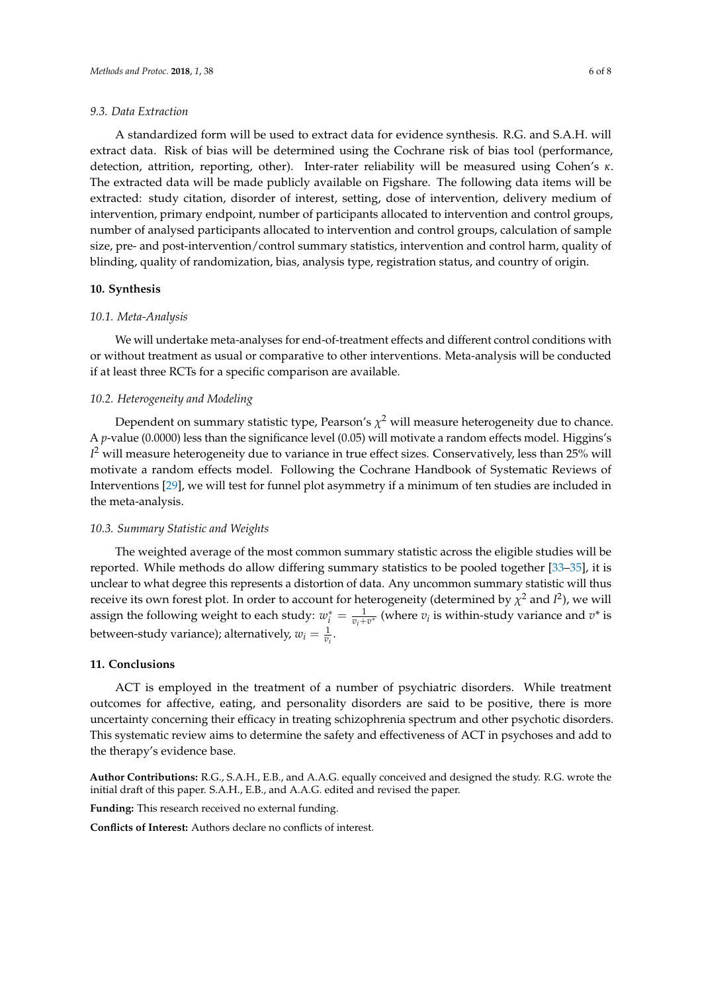#### *9.3. Data Extraction*

A standardized form will be used to extract data for evidence synthesis. R.G. and S.A.H. will extract data. Risk of bias will be determined using the Cochrane risk of bias tool (performance, detection, attrition, reporting, other). Inter-rater reliability will be measured using Cohen's *κ*. The extracted data will be made publicly available on Figshare. The following data items will be extracted: study citation, disorder of interest, setting, dose of intervention, delivery medium of intervention, primary endpoint, number of participants allocated to intervention and control groups, number of analysed participants allocated to intervention and control groups, calculation of sample size, pre- and post-intervention/control summary statistics, intervention and control harm, quality of blinding, quality of randomization, bias, analysis type, registration status, and country of origin.

#### **10. Synthesis**

## *10.1. Meta-Analysis*

We will undertake meta-analyses for end-of-treatment effects and different control conditions with or without treatment as usual or comparative to other interventions. Meta-analysis will be conducted if at least three RCTs for a specific comparison are available.

#### *10.2. Heterogeneity and Modeling*

Dependent on summary statistic type, Pearson's  $\chi^2$  will measure heterogeneity due to chance. A *p*-value (0.0000) less than the significance level (0.05) will motivate a random effects model. Higgins's *I* <sup>2</sup> will measure heterogeneity due to variance in true effect sizes. Conservatively, less than 25% will motivate a random effects model. Following the Cochrane Handbook of Systematic Reviews of Interventions [\[29\]](#page-7-8), we will test for funnel plot asymmetry if a minimum of ten studies are included in the meta-analysis.

#### *10.3. Summary Statistic and Weights*

The weighted average of the most common summary statistic across the eligible studies will be reported. While methods do allow differing summary statistics to be pooled together [\[33](#page-7-14)[–35\]](#page-7-15), it is unclear to what degree this represents a distortion of data. Any uncommon summary statistic will thus receive its own forest plot. In order to account for heterogeneity (determined by  $\chi^2$  and  $I^2$ ), we will assign the following weight to each study:  $w_i^* = \frac{1}{v_i + v^*}$  (where  $v_i$  is within-study variance and  $v^*$  is between-study variance); alternatively,  $w_i = \frac{1}{v_i}$ .

### **11. Conclusions**

ACT is employed in the treatment of a number of psychiatric disorders. While treatment outcomes for affective, eating, and personality disorders are said to be positive, there is more uncertainty concerning their efficacy in treating schizophrenia spectrum and other psychotic disorders. This systematic review aims to determine the safety and effectiveness of ACT in psychoses and add to the therapy's evidence base.

**Author Contributions:** R.G., S.A.H., E.B., and A.A.G. equally conceived and designed the study. R.G. wrote the initial draft of this paper. S.A.H., E.B., and A.A.G. edited and revised the paper.

**Funding:** This research received no external funding.

**Conflicts of Interest:** Authors declare no conflicts of interest.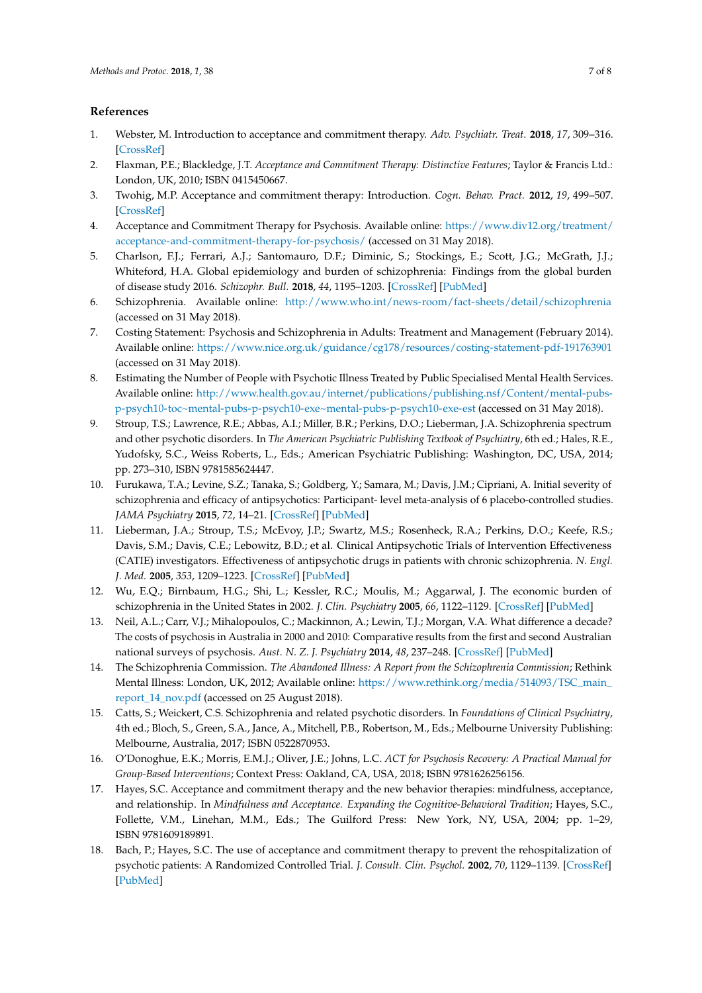## **References**

- <span id="page-6-0"></span>1. Webster, M. Introduction to acceptance and commitment therapy. *Adv. Psychiatr. Treat.* **2018**, *17*, 309–316. [\[CrossRef\]](http://dx.doi.org/10.1192/apt.bp.107.005256)
- <span id="page-6-1"></span>2. Flaxman, P.E.; Blackledge, J.T. *Acceptance and Commitment Therapy: Distinctive Features*; Taylor & Francis Ltd.: London, UK, 2010; ISBN 0415450667.
- <span id="page-6-2"></span>3. Twohig, M.P. Acceptance and commitment therapy: Introduction. *Cogn. Behav. Pract.* **2012**, *19*, 499–507. [\[CrossRef\]](http://dx.doi.org/10.1016/j.cbpra.2012.04.003)
- <span id="page-6-3"></span>4. Acceptance and Commitment Therapy for Psychosis. Available online: [https://www.div12.org/treatment/](https://www.div12.org/treatment/acceptance-and-commitment-therapy-for-psychosis/) [acceptance-and-commitment-therapy-for-psychosis/](https://www.div12.org/treatment/acceptance-and-commitment-therapy-for-psychosis/) (accessed on 31 May 2018).
- <span id="page-6-4"></span>5. Charlson, F.J.; Ferrari, A.J.; Santomauro, D.F.; Diminic, S.; Stockings, E.; Scott, J.G.; McGrath, J.J.; Whiteford, H.A. Global epidemiology and burden of schizophrenia: Findings from the global burden of disease study 2016. *Schizophr. Bull.* **2018**, *44*, 1195–1203. [\[CrossRef\]](http://dx.doi.org/10.1093/schbul/sby058) [\[PubMed\]](http://www.ncbi.nlm.nih.gov/pubmed/29762765)
- <span id="page-6-5"></span>6. Schizophrenia. Available online: <http://www.who.int/news-room/fact-sheets/detail/schizophrenia> (accessed on 31 May 2018).
- <span id="page-6-6"></span>7. Costing Statement: Psychosis and Schizophrenia in Adults: Treatment and Management (February 2014). Available online: <https://www.nice.org.uk/guidance/cg178/resources/costing-statement-pdf-191763901> (accessed on 31 May 2018).
- <span id="page-6-7"></span>8. Estimating the Number of People with Psychotic Illness Treated by Public Specialised Mental Health Services. Available online: [http://www.health.gov.au/internet/publications/publishing.nsf/Content/mental-pubs](http://www.health.gov.au/internet/publications/publishing.nsf/Content/mental-pubs-p-psych10-toc~mental-pubs-p-psych10-exe~mental-pubs-p-psych10-exe-est)[p-psych10-toc~mental-pubs-p-psych10-exe~mental-pubs-p-psych10-exe-est](http://www.health.gov.au/internet/publications/publishing.nsf/Content/mental-pubs-p-psych10-toc~mental-pubs-p-psych10-exe~mental-pubs-p-psych10-exe-est) (accessed on 31 May 2018).
- <span id="page-6-8"></span>9. Stroup, T.S.; Lawrence, R.E.; Abbas, A.I.; Miller, B.R.; Perkins, D.O.; Lieberman, J.A. Schizophrenia spectrum and other psychotic disorders. In *The American Psychiatric Publishing Textbook of Psychiatry*, 6th ed.; Hales, R.E., Yudofsky, S.C., Weiss Roberts, L., Eds.; American Psychiatric Publishing: Washington, DC, USA, 2014; pp. 273–310, ISBN 9781585624447.
- <span id="page-6-9"></span>10. Furukawa, T.A.; Levine, S.Z.; Tanaka, S.; Goldberg, Y.; Samara, M.; Davis, J.M.; Cipriani, A. Initial severity of schizophrenia and efficacy of antipsychotics: Participant- level meta-analysis of 6 placebo-controlled studies. *JAMA Psychiatry* **2015**, *72*, 14–21. [\[CrossRef\]](http://dx.doi.org/10.1001/jamapsychiatry.2014.2127) [\[PubMed\]](http://www.ncbi.nlm.nih.gov/pubmed/25372935)
- <span id="page-6-10"></span>11. Lieberman, J.A.; Stroup, T.S.; McEvoy, J.P.; Swartz, M.S.; Rosenheck, R.A.; Perkins, D.O.; Keefe, R.S.; Davis, S.M.; Davis, C.E.; Lebowitz, B.D.; et al. Clinical Antipsychotic Trials of Intervention Effectiveness (CATIE) investigators. Effectiveness of antipsychotic drugs in patients with chronic schizophrenia. *N. Engl. J. Med.* **2005**, *353*, 1209–1223. [\[CrossRef\]](http://dx.doi.org/10.1056/NEJMoa051688) [\[PubMed\]](http://www.ncbi.nlm.nih.gov/pubmed/16172203)
- <span id="page-6-11"></span>12. Wu, E.Q.; Birnbaum, H.G.; Shi, L.; Kessler, R.C.; Moulis, M.; Aggarwal, J. The economic burden of schizophrenia in the United States in 2002. *J. Clin. Psychiatry* **2005**, *66*, 1122–1129. [\[CrossRef\]](http://dx.doi.org/10.4088/JCP.v66n0906) [\[PubMed\]](http://www.ncbi.nlm.nih.gov/pubmed/16187769)
- <span id="page-6-12"></span>13. Neil, A.L.; Carr, V.J.; Mihalopoulos, C.; Mackinnon, A.; Lewin, T.J.; Morgan, V.A. What difference a decade? The costs of psychosis in Australia in 2000 and 2010: Comparative results from the first and second Australian national surveys of psychosis. *Aust. N. Z. J. Psychiatry* **2014**, *48*, 237–248. [\[CrossRef\]](http://dx.doi.org/10.1177/0004867413508453) [\[PubMed\]](http://www.ncbi.nlm.nih.gov/pubmed/24220136)
- <span id="page-6-13"></span>14. The Schizophrenia Commission. *The Abandoned Illness: A Report from the Schizophrenia Commission*; Rethink Mental Illness: London, UK, 2012; Available online: [https://www.rethink.org/media/514093/TSC\\_main\\_](https://www.rethink.org/media/514093/TSC_main_report_14_nov.pdf) [report\\_14\\_nov.pdf](https://www.rethink.org/media/514093/TSC_main_report_14_nov.pdf) (accessed on 25 August 2018).
- <span id="page-6-14"></span>15. Catts, S.; Weickert, C.S. Schizophrenia and related psychotic disorders. In *Foundations of Clinical Psychiatry*, 4th ed.; Bloch, S., Green, S.A., Jance, A., Mitchell, P.B., Robertson, M., Eds.; Melbourne University Publishing: Melbourne, Australia, 2017; ISBN 0522870953.
- <span id="page-6-15"></span>16. O'Donoghue, E.K.; Morris, E.M.J.; Oliver, J.E.; Johns, L.C. *ACT for Psychosis Recovery: A Practical Manual for Group-Based Interventions*; Context Press: Oakland, CA, USA, 2018; ISBN 9781626256156.
- <span id="page-6-16"></span>17. Hayes, S.C. Acceptance and commitment therapy and the new behavior therapies: mindfulness, acceptance, and relationship. In *Mindfulness and Acceptance. Expanding the Cognitive-Behavioral Tradition*; Hayes, S.C., Follette, V.M., Linehan, M.M., Eds.; The Guilford Press: New York, NY, USA, 2004; pp. 1–29, ISBN 9781609189891.
- <span id="page-6-17"></span>18. Bach, P.; Hayes, S.C. The use of acceptance and commitment therapy to prevent the rehospitalization of psychotic patients: A Randomized Controlled Trial. *J. Consult. Clin. Psychol.* **2002**, *70*, 1129–1139. [\[CrossRef\]](http://dx.doi.org/10.1037/0022-006X.70.5.1129) [\[PubMed\]](http://www.ncbi.nlm.nih.gov/pubmed/12362963)